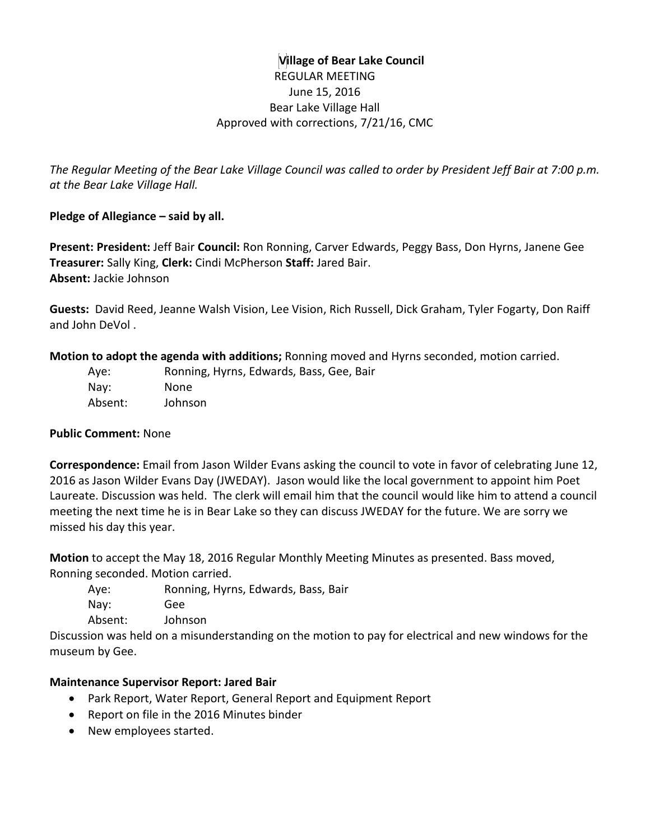## **Village of Bear Lake Council** REGULAR MEETING June 15, 2016 Bear Lake Village Hall Approved with corrections, 7/21/16, CMC

*The Regular Meeting of the Bear Lake Village Council was called to order by President Jeff Bair at 7:00 p.m. at the Bear Lake Village Hall.*

### **Pledge of Allegiance – said by all.**

**Present: President:** Jeff Bair **Council:** Ron Ronning, Carver Edwards, Peggy Bass, Don Hyrns, Janene Gee **Treasurer:** Sally King, **Clerk:** Cindi McPherson **Staff:** Jared Bair. **Absent:** Jackie Johnson

**Guests:** David Reed, Jeanne Walsh Vision, Lee Vision, Rich Russell, Dick Graham, Tyler Fogarty, Don Raiff and John DeVol .

**Motion to adopt the agenda with additions;** Ronning moved and Hyrns seconded, motion carried.

| Aye:    | Ronning, Hyrns, Edwards, Bass, Gee, Bair |
|---------|------------------------------------------|
| Nay:    | None                                     |
| Absent: | Johnson                                  |

### **Public Comment:** None

**Correspondence:** Email from Jason Wilder Evans asking the council to vote in favor of celebrating June 12, 2016 as Jason Wilder Evans Day (JWEDAY). Jason would like the local government to appoint him Poet Laureate. Discussion was held. The clerk will email him that the council would like him to attend a council meeting the next time he is in Bear Lake so they can discuss JWEDAY for the future. We are sorry we missed his day this year.

**Motion** to accept the May 18, 2016 Regular Monthly Meeting Minutes as presented. Bass moved, Ronning seconded. Motion carried.

Aye: Ronning, Hyrns, Edwards, Bass, Bair Nay: Gee Absent: Johnson

Discussion was held on a misunderstanding on the motion to pay for electrical and new windows for the museum by Gee.

## **Maintenance Supervisor Report: Jared Bair**

- Park Report, Water Report, General Report and Equipment Report
- Report on file in the 2016 Minutes binder
- New employees started.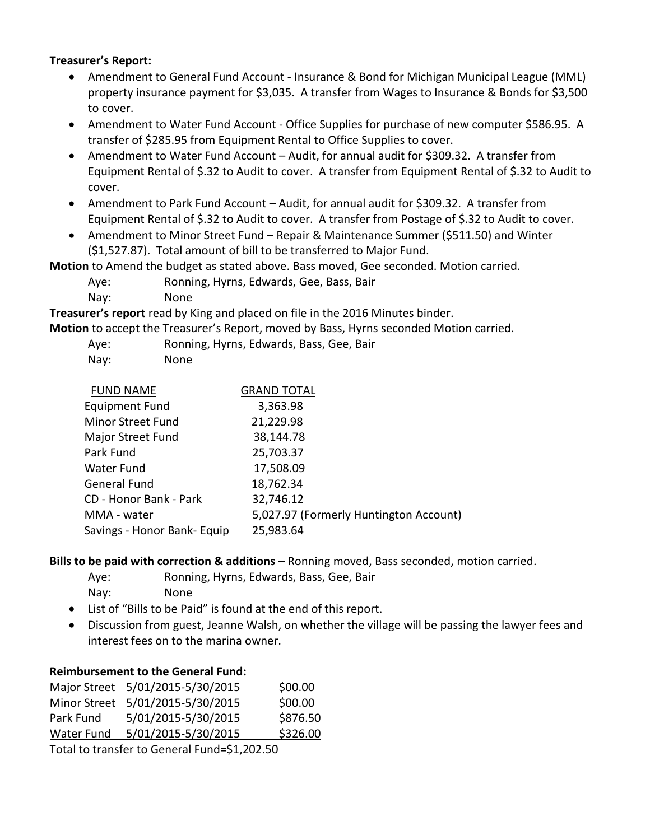#### **Treasurer's Report:**

- Amendment to General Fund Account Insurance & Bond for Michigan Municipal League (MML) property insurance payment for \$3,035. A transfer from Wages to Insurance & Bonds for \$3,500 to cover.
- Amendment to Water Fund Account Office Supplies for purchase of new computer \$586.95. A transfer of \$285.95 from Equipment Rental to Office Supplies to cover.
- Amendment to Water Fund Account Audit, for annual audit for \$309.32. A transfer from Equipment Rental of \$.32 to Audit to cover. A transfer from Equipment Rental of \$.32 to Audit to cover.
- Amendment to Park Fund Account Audit, for annual audit for \$309.32. A transfer from Equipment Rental of \$.32 to Audit to cover. A transfer from Postage of \$.32 to Audit to cover.
- Amendment to Minor Street Fund Repair & Maintenance Summer (\$511.50) and Winter (\$1,527.87). Total amount of bill to be transferred to Major Fund.

**Motion** to Amend the budget as stated above. Bass moved, Gee seconded. Motion carried.

- Aye: Ronning, Hyrns, Edwards, Gee, Bass, Bair
- Nay: None

**Treasurer's report** read by King and placed on file in the 2016 Minutes binder.

**Motion** to accept the Treasurer's Report, moved by Bass, Hyrns seconded Motion carried.

- Aye: Ronning, Hyrns, Edwards, Bass, Gee, Bair
- Nay: None

| <b>FUND NAME</b>            | <b>GRAND TOTAL</b>                     |
|-----------------------------|----------------------------------------|
| <b>Equipment Fund</b>       | 3,363.98                               |
| Minor Street Fund           | 21,229.98                              |
| Major Street Fund           | 38,144.78                              |
| Park Fund                   | 25,703.37                              |
| Water Fund                  | 17,508.09                              |
| General Fund                | 18,762.34                              |
| CD - Honor Bank - Park      | 32,746.12                              |
| MMA - water                 | 5,027.97 (Formerly Huntington Account) |
| Savings - Honor Bank- Equip | 25,983.64                              |

**Bills to be paid with correction & additions –** Ronning moved, Bass seconded, motion carried.

Aye: Ronning, Hyrns, Edwards, Bass, Gee, Bair

Nay: None

- List of "Bills to be Paid" is found at the end of this report.
- Discussion from guest, Jeanne Walsh, on whether the village will be passing the lawyer fees and interest fees on to the marina owner.

### **Reimbursement to the General Fund:**

|                   | Major Street 5/01/2015-5/30/2015 | \$00.00  |
|-------------------|----------------------------------|----------|
|                   | Minor Street 5/01/2015-5/30/2015 | \$00.00  |
| Park Fund         | 5/01/2015-5/30/2015              | \$876.50 |
| <b>Water Fund</b> | 5/01/2015-5/30/2015              | \$326.00 |

Total to transfer to General Fund=\$1,202.50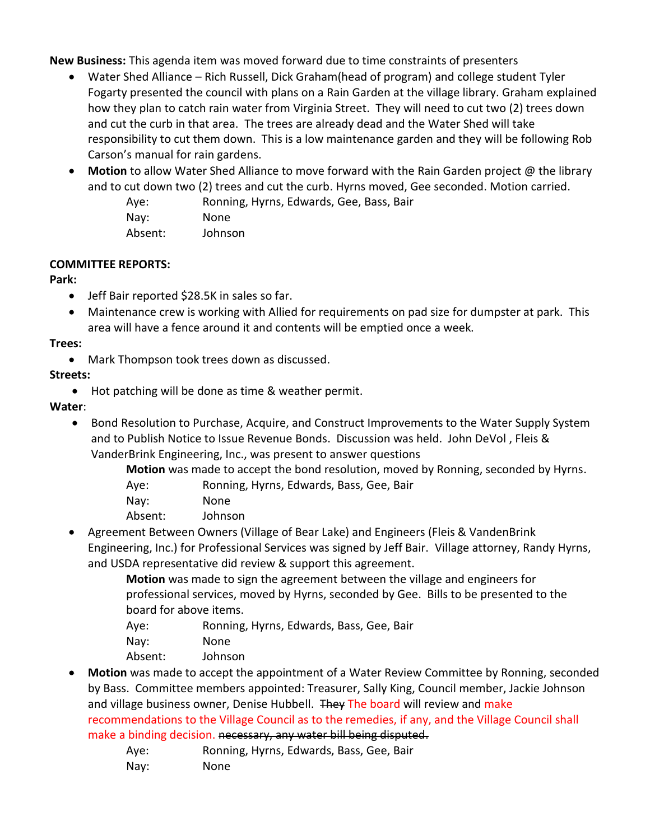**New Business:** This agenda item was moved forward due to time constraints of presenters

- Water Shed Alliance Rich Russell, Dick Graham(head of program) and college student Tyler Fogarty presented the council with plans on a Rain Garden at the village library. Graham explained how they plan to catch rain water from Virginia Street. They will need to cut two (2) trees down and cut the curb in that area. The trees are already dead and the Water Shed will take responsibility to cut them down. This is a low maintenance garden and they will be following Rob Carson's manual for rain gardens.
- **Motion** to allow Water Shed Alliance to move forward with the Rain Garden project @ the library and to cut down two (2) trees and cut the curb. Hyrns moved, Gee seconded. Motion carried.

Aye: Ronning, Hyrns, Edwards, Gee, Bass, Bair

| Nay:    | None    |
|---------|---------|
| Absent: | Johnson |

#### **COMMITTEE REPORTS:**

#### **Park:**

- Jeff Bair reported \$28.5K in sales so far.
- Maintenance crew is working with Allied for requirements on pad size for dumpster at park. This area will have a fence around it and contents will be emptied once a week.

#### **Trees:**

Mark Thompson took trees down as discussed.

### **Streets:**

Hot patching will be done as time & weather permit.

### **Water**:

• Bond Resolution to Purchase, Acquire, and Construct Improvements to the Water Supply System and to Publish Notice to Issue Revenue Bonds. Discussion was held. John DeVol , Fleis & VanderBrink Engineering, Inc., was present to answer questions

**Motion** was made to accept the bond resolution, moved by Ronning, seconded by Hyrns.

- Aye: Ronning, Hyrns, Edwards, Bass, Gee, Bair
- Nay: None
- Absent: Johnson
- Agreement Between Owners (Village of Bear Lake) and Engineers (Fleis & VandenBrink Engineering, Inc.) for Professional Services was signed by Jeff Bair. Village attorney, Randy Hyrns, and USDA representative did review & support this agreement.
	- **Motion** was made to sign the agreement between the village and engineers for professional services, moved by Hyrns, seconded by Gee. Bills to be presented to the board for above items.
	- Aye: Ronning, Hyrns, Edwards, Bass, Gee, Bair
	- Nay: None
	- Absent: Johnson
- **Motion** was made to accept the appointment of a Water Review Committee by Ronning, seconded by Bass. Committee members appointed: Treasurer, Sally King, Council member, Jackie Johnson and village business owner, Denise Hubbell. They The board will review and make recommendations to the Village Council as to the remedies, if any, and the Village Council shall make a binding decision. necessary, any water bill being disputed.
	- Aye: Ronning, Hyrns, Edwards, Bass, Gee, Bair
	- Nay: None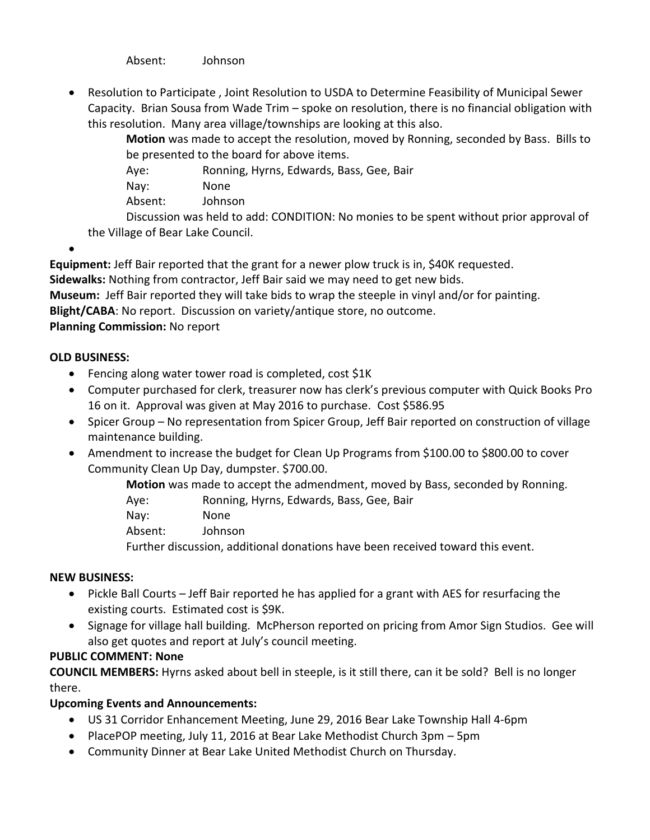Absent: Johnson

 Resolution to Participate , Joint Resolution to USDA to Determine Feasibility of Municipal Sewer Capacity. Brian Sousa from Wade Trim – spoke on resolution, there is no financial obligation with this resolution. Many area village/townships are looking at this also.

**Motion** was made to accept the resolution, moved by Ronning, seconded by Bass. Bills to be presented to the board for above items.

Aye: Ronning, Hyrns, Edwards, Bass, Gee, Bair

Nay: None

Absent: Johnson

Discussion was held to add: CONDITION: No monies to be spent without prior approval of the Village of Bear Lake Council.

 $\bullet$ 

**Equipment:** Jeff Bair reported that the grant for a newer plow truck is in, \$40K requested.

**Sidewalks:** Nothing from contractor, Jeff Bair said we may need to get new bids.

**Museum:** Jeff Bair reported they will take bids to wrap the steeple in vinyl and/or for painting.

**Blight/CABA**: No report. Discussion on variety/antique store, no outcome.

## **Planning Commission:** No report

### **OLD BUSINESS:**

- Fencing along water tower road is completed, cost \$1K
- Computer purchased for clerk, treasurer now has clerk's previous computer with Quick Books Pro 16 on it. Approval was given at May 2016 to purchase. Cost \$586.95
- Spicer Group No representation from Spicer Group, Jeff Bair reported on construction of village maintenance building.
- Amendment to increase the budget for Clean Up Programs from \$100.00 to \$800.00 to cover Community Clean Up Day, dumpster. \$700.00.

**Motion** was made to accept the admendment, moved by Bass, seconded by Ronning.

Aye: Ronning, Hyrns, Edwards, Bass, Gee, Bair

- Nay: None
- Absent: Johnson

Further discussion, additional donations have been received toward this event.

### **NEW BUSINESS:**

- Pickle Ball Courts Jeff Bair reported he has applied for a grant with AES for resurfacing the existing courts. Estimated cost is \$9K.
- Signage for village hall building. McPherson reported on pricing from Amor Sign Studios. Gee will also get quotes and report at July's council meeting.

## **PUBLIC COMMENT: None**

**COUNCIL MEMBERS:** Hyrns asked about bell in steeple, is it still there, can it be sold? Bell is no longer there.

## **Upcoming Events and Announcements:**

- US 31 Corridor Enhancement Meeting, June 29, 2016 Bear Lake Township Hall 4-6pm
- PlacePOP meeting, July 11, 2016 at Bear Lake Methodist Church 3pm 5pm
- Community Dinner at Bear Lake United Methodist Church on Thursday.